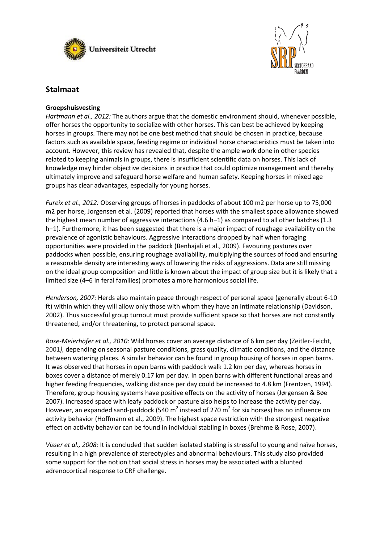



# **Stalmaat**

# **Groepshuisvesting**

*Hartmann et al., 2012:* The authors argue that the domestic environment should, whenever possible, offer horses the opportunity to socialize with other horses. This can best be achieved by keeping horses in groups. There may not be one best method that should be chosen in practice, because factors such as available space, feeding regime or individual horse characteristics must be taken into account. However, this review has revealed that, despite the ample work done in other species related to keeping animals in groups, there is insufficient scientific data on horses. This lack of knowledge may hinder objective decisions in practice that could optimize management and thereby ultimately improve and safeguard horse welfare and human safety. Keeping horses in mixed age groups has clear advantages, especially for young horses.

*Fureix et al., 2012:* Observing groups of horses in paddocks of about 100 m2 per horse up to 75,000 m2 per horse, Jorgensen et al. (2009) reported that horses with the smallest space allowance showed the highest mean number of aggressive interactions (4.6 h−1) as compared to all other batches (1.3 h−1). Furthermore, it has been suggested that there is a major impact of roughage availability on the prevalence of agonistic behaviours. Aggressive interactions dropped by half when foraging opportunities were provided in the paddock (Benhajali et al., 2009). Favouring pastures over paddocks when possible, ensuring roughage availability, multiplying the sources of food and ensuring a reasonable density are interesting ways of lowering the risks of aggressions. Data are still missing on the ideal group composition and little is known about the impact of group size but it is likely that a limited size (4–6 in feral families) promotes a more harmonious social life.

*Henderson, 2007:* Herds also maintain peace through respect of personal space (generally about 6-10 ft) within which they will allow only those with whom they have an intimate relationship (Davidson, 2002). Thus successful group turnout must provide sufficient space so that horses are not constantly threatened, and/or threatening, to protect personal space.

*Rose-Meierhöfer et al., 2010:* Wild horses cover an average distance of 6 km per day (Zeitler-Feicht, 2001*),* depending on seasonal pasture conditions, grass quality, climatic conditions, and the distance between watering places. A similar behavior can be found in group housing of horses in open barns. It was observed that horses in open barns with paddock walk 1.2 km per day, whereas horses in boxes cover a distance of merely 0.17 km per day. In open barns with different functional areas and higher feeding frequencies, walking distance per day could be increased to 4.8 km (Frentzen, 1994). Therefore, group housing systems have positive effects on the activity of horses (Jørgensen & Bøe 2007). Increased space with leafy paddock or pasture also helps to increase the activity per day. However, an expanded sand-paddock (540 m<sup>2</sup> instead of 270 m<sup>2</sup> for six horses) has no influence on activity behavior (Hoffmann et al., 2009). The highest space restriction with the strongest negative effect on activity behavior can be found in individual stabling in boxes (Brehme & Rose, 2007).

*Visser et al., 2008:* It is concluded that sudden isolated stabling is stressful to young and naïve horses, resulting in a high prevalence of stereotypies and abnormal behaviours. This study also provided some support for the notion that social stress in horses may be associated with a blunted adrenocortical response to CRF challenge.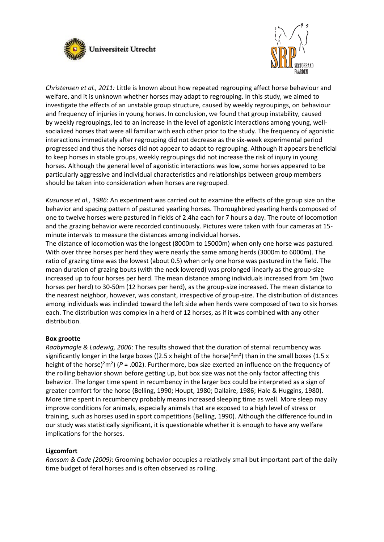



*Christensen et al., 2011:* Little is known about how repeated regrouping affect horse behaviour and welfare, and it is unknown whether horses may adapt to regrouping. In this study, we aimed to investigate the effects of an unstable group structure, caused by weekly regroupings, on behaviour and frequency of injuries in young horses. In conclusion, we found that group instability, caused by weekly regroupings, led to an increase in the level of agonistic interactions among young, wellsocialized horses that were all familiar with each other prior to the study. The frequency of agonistic interactions immediately after regrouping did not decrease as the six-week experimental period progressed and thus the horses did not appear to adapt to regrouping. Although it appears beneficial to keep horses in stable groups, weekly regroupings did not increase the risk of injury in young horses. Although the general level of agonistic interactions was low, some horses appeared to be particularly aggressive and individual characteristics and relationships between group members should be taken into consideration when horses are regrouped.

*Kusunose et al., 1986*: An experiment was carried out to examine the effects of the group size on the behavior and spacing pattern of pastured yearling horses. Thoroughbred yearling herds composed of one to twelve horses were pastured in fields of 2.4ha each for 7 hours a day. The route of locomotion and the grazing behavior were recorded continuously. Pictures were taken with four cameras at 15 minute intervals to measure the distances among individual horses.

The distance of locomotion was the longest (8000m to 15000m) when only one horse was pastured. With over three horses per herd they were nearly the same among herds (3000m to 6000m). The ratio of grazing time was the lowest (about 0.5) when only one horse was pastured in the field. The mean duration of grazing bouts (with the neck lowered) was prolonged linearly as the group-size increased up to four horses per herd. The mean distance among individuals increased from 5m (two horses per herd) to 30-50m (12 horses per herd), as the group-size increased. The mean distance to the nearest neighbor, however, was constant, irrespective of group-size. The distribution of distances among individuals was inclinded toward the left side when herds were composed of two to six horses each. The distribution was complex in a herd of 12 horses, as if it was combined with any other distribution.

# **Box grootte**

*Raabymagle & Ladewig, 2006*: The results showed that the duration of sternal recumbency was significantly longer in the large boxes ((2.5 x height of the horse)<sup>2</sup>m<sup>2</sup>) than in the small boxes (1.5 x height of the horse)²m²) (*P* = .002). Furthermore, box size exerted an influence on the frequency of the rolling behavior shown before getting up, but box size was not the only factor affecting this behavior. The longer time spent in recumbency in the larger box could be interpreted as a sign of greater comfort for the horse (Belling, 1990; Houpt, 1980; Dallaire, 1986; Hale & Huggins, 1980). More time spent in recumbency probably means increased sleeping time as well. More sleep may improve conditions for animals, especially animals that are exposed to a high level of stress or training, such as horses used in sport competitions (Belling, 1990). Although the difference found in our study was statistically significant, it is questionable whether it is enough to have any welfare implications for the horses.

### **Ligcomfort**

*Ransom & Cade (2009)*: Grooming behavior occupies a relatively small but important part of the daily time budget of feral horses and is often observed as rolling.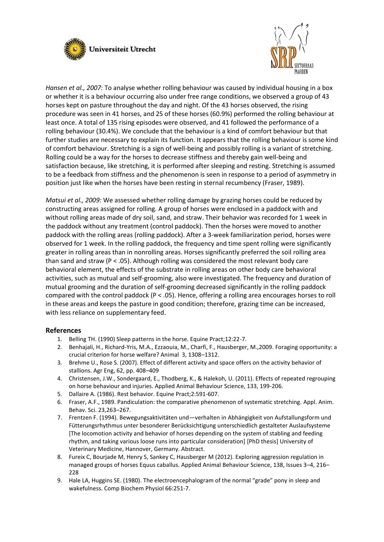



*Hansen et al., 2007:* To analyse whether rolling behaviour was caused by individual housing in a box or whether it is a behaviour occurring also under free range conditions, we observed a group of 43 horses kept on pasture throughout the day and night. Of the 43 horses observed, the rising procedure was seen in 41 horses, and 25 of these horses (60.9%) performed the rolling behaviour at least once. A total of 135 rising episodes were observed, and 41 followed the performance of a rolling behaviour (30.4%). We conclude that the behaviour is a kind of comfort behaviour but that further studies are necessary to explain its function. It appears that the rolling behaviour is some kind of comfort behaviour. Stretching is a sign of well-being and possibly rolling is a variant of stretching. Rolling could be a way for the horses to decrease stiffness and thereby gain well-being and satisfaction because, like stretching, it is performed after sleeping and resting. Stretching is assumed to be a feedback from stiffness and the phenomenon is seen in response to a period of asymmetry in position just like when the horses have been resting in sternal recumbency (Fraser, 1989).

*Matsui et al., 2009:* We assessed whether rolling damage by grazing horses could be reduced by constructing areas assigned for rolling. A group of horses were enclosed in a paddock with and without rolling areas made of dry soil, sand, and straw. Their behavior was recorded for 1 week in the paddock without any treatment (control paddock). Then the horses were moved to another paddock with the rolling areas (rolling paddock). After a 3-week familiarization period, horses were observed for 1 week. In the rolling paddock, the frequency and time spent rolling were significantly greater in rolling areas than in nonrolling areas. Horses significantly preferred the soil rolling area than sand and straw (P < .05). Although rolling was considered the most relevant body care behavioral element, the effects of the substrate in rolling areas on other body care behavioral activities, such as mutual and self-grooming, also were investigated. The frequency and duration of mutual grooming and the duration of self-grooming decreased significantly in the rolling paddock compared with the control paddock (P < .05). Hence, offering a rolling area encourages horses to roll in these areas and keeps the pasture in good condition; therefore, grazing time can be increased, with less reliance on supplementary feed.

### **References**

- 1. Belling TH. (1990) Sleep patterns in the horse. Equine Pract;12:22-7.
- 2. Benhajali, H., Richard-Yris, M.A., Ezzaouia, M., Charfi, F., Hausberger, M.,2009. Foraging opportunity: a crucial criterion for horse welfare? Animal 3, 1308–1312.
- 3. Brehme U., Rose S. (2007). Effect of different activity and space offers on the activity behavior of stallions. Agr Eng, 62, pp. 408–409
- 4. Christensen, J.W., Sondergaard, E., Thodberg, K., & Halekoh, U. (2011). Effects of repeated regrouping on horse behaviour and injuries. Applied Animal Behaviour Science, 133, 199-206.
- 5. Dallaire A. (1986). Rest behavior. Equine Pract;2:591-607.
- 6. Fraser, A.F., 1989. Pandiculation: the comparative phenomenon of systematic stretching. Appl. Anim. Behav. Sci. 23,263–267.
- 7. Frentzen F. (1994). Bewegungsaktivitäten und—verhalten in Abhängigkeit von Aufstallungsform und Fütterungsrhythmus unter besonderer Berücksichtigung unterschiedlich gestalteter Auslaufsysteme [The locomotion activity and behavior of horses depending on the system of stabling and feeding rhythm, and taking various loose runs into particular consideration] [PhD thesis] University of Veterinary Medicine, Hannover, Germany. Abstract.
- 8. Fureix C, Bourjade M, Henry S, Sankey C, Hausberger M (2012). Exploring aggression regulation in managed groups of horses Equus caballus. Applied Animal Behaviour Science, 138, Issues 3–4, 216– 228
- 9. Hale LA, Huggins SE. (1980). The electroencephalogram of the normal "grade" pony in sleep and wakefulness. Comp Biochem Physiol 66:251-7.